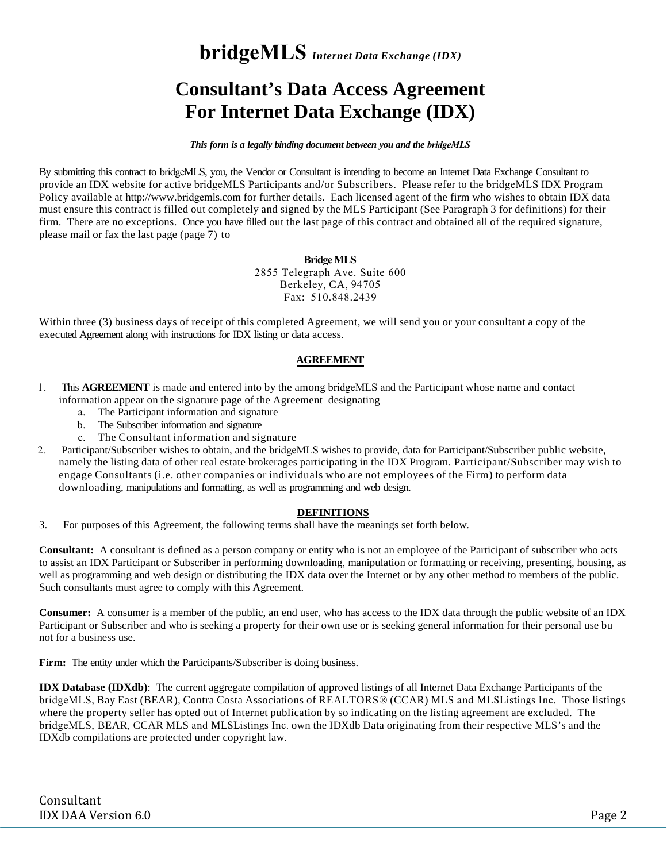**bridgeMLS** *Internet Data Exchange (IDX)*

# **Consultant's Data Access Agreement For Internet Data Exchange (IDX)**

*This form is a legally binding document between you and the bridgeMLS*

By submitting this contract to bridgeMLS, you, the Vendor or Consultant is intending to become an Internet Data Exchange Consultant to provide an IDX website for active bridgeMLS Participants and/or Subscribers. Please refer to the bridgeMLS IDX Program Policy available at http://www.bridgemls.com for further details. Each licensed agent of the firm who wishes to obtain IDX data must ensure this contract is filled out completely and signed by the MLS Participant (See Paragraph 3 for definitions) for their firm. There are no exceptions. Once you have filled out the last page of this contract and obtained all of the required signature, please mail or fax the last page (page 7) to

#### **Bridge MLS** 2855 Telegraph Ave. Suite 600 Berkeley, CA, 94705

Fax: 510.848.2439

Within three (3) business days of receipt of this completed Agreement, we will send you or your consultant a copy of the executed Agreement along with instructions for IDX listing or data access.

## **AGREEMENT**

- 1. This **AGREEMENT** is made and entered into by the among bridgeMLS and the Participant whose name and contact information appear on the signature page of the Agreement designating
	- a. The Participant information and signature
	- b. The Subscriber information and signature
	- c. The Consultant information and signature
- 2. Participant/Subscriber wishes to obtain, and the bridgeMLS wishes to provide, data for Participant/Subscriber public website, namely the listing data of other real estate brokerages participating in the IDX Program. Participant/Subscriber may wish to engage Consultants (i.e. other companies or individuals who are not employees of the Firm) to perform data downloading, manipulations and formatting, as well as programming and web design.

#### **DEFINITIONS**

3. For purposes of this Agreement, the following terms shall have the meanings set forth below.

**Consultant:** A consultant is defined as a person company or entity who is not an employee of the Participant of subscriber who acts to assist an IDX Participant or Subscriber in performing downloading, manipulation or formatting or receiving, presenting, housing, as well as programming and web design or distributing the IDX data over the Internet or by any other method to members of the public. Such consultants must agree to comply with this Agreement.

**Consumer:** A consumer is a member of the public, an end user, who has access to the IDX data through the public website of an IDX Participant or Subscriber and who is seeking a property for their own use or is seeking general information for their personal use bu not for a business use.

Firm: The entity under which the Participants/Subscriber is doing business.

**IDX Database (IDXdb)**: The current aggregate compilation of approved listings of all Internet Data Exchange Participants of the bridgeMLS, Bay East (BEAR), Contra Costa Associations of REALTORS® (CCAR) MLS and MLSListings Inc. Those listings where the property seller has opted out of Internet publication by so indicating on the listing agreement are excluded. The bridgeMLS, BEAR, CCAR MLS and MLSListings Inc. own the IDXdb Data originating from their respective MLS's and the IDXdb compilations are protected under copyright law.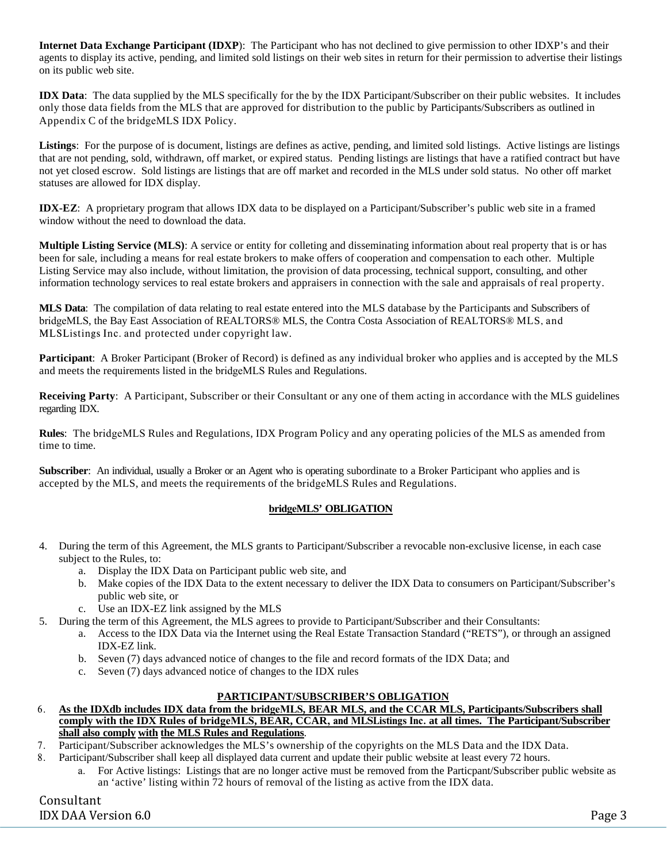**Internet Data Exchange Participant (IDXP**): The Participant who has not declined to give permission to other IDXP's and their agents to display its active, pending, and limited sold listings on their web sites in return for their permission to advertise their listings on its public web site.

**IDX Data**: The data supplied by the MLS specifically for the by the IDX Participant/Subscriber on their public websites. It includes only those data fields from the MLS that are approved for distribution to the public by Participants/Subscribers as outlined in Appendix C of the bridgeMLS IDX Policy.

**Listings**: For the purpose of is document, listings are defines as active, pending, and limited sold listings. Active listings are listings that are not pending, sold, withdrawn, off market, or expired status. Pending listings are listings that have a ratified contract but have not yet closed escrow. Sold listings are listings that are off market and recorded in the MLS under sold status. No other off market statuses are allowed for IDX display.

**IDX-EZ**: A proprietary program that allows IDX data to be displayed on a Participant/Subscriber's public web site in a framed window without the need to download the data.

**Multiple Listing Service (MLS)**: A service or entity for colleting and disseminating information about real property that is or has been for sale, including a means for real estate brokers to make offers of cooperation and compensation to each other. Multiple Listing Service may also include, without limitation, the provision of data processing, technical support, consulting, and other information technology services to real estate brokers and appraisers in connection with the sale and appraisals of real property.

**MLS Data**: The compilation of data relating to real estate entered into the MLS database by the Participants and Subscribers of bridgeMLS, the Bay East Association of REALTORS® MLS, the Contra Costa Association of REALTORS® MLS, and MLSListings Inc. and protected under copyright law.

**Participant**: A Broker Participant (Broker of Record) is defined as any individual broker who applies and is accepted by the MLS and meets the requirements listed in the bridgeMLS Rules and Regulations.

**Receiving Party**: A Participant, Subscriber or their Consultant or any one of them acting in accordance with the MLS guidelines regarding IDX.

**Rules**: The bridgeMLS Rules and Regulations, IDX Program Policy and any operating policies of the MLS as amended from time to time.

**Subscriber**: An individual, usually a Broker or an Agent who is operating subordinate to a Broker Participant who applies and is accepted by the MLS, and meets the requirements of the bridgeMLS Rules and Regulations.

## **bridgeMLS' OBLIGATION**

- 4. During the term of this Agreement, the MLS grants to Participant/Subscriber a revocable non-exclusive license, in each case subject to the Rules, to:
	- a. Display the IDX Data on Participant public web site, and
	- b. Make copies of the IDX Data to the extent necessary to deliver the IDX Data to consumers on Participant/Subscriber's public web site, or
	- c. Use an IDX-EZ link assigned by the MLS
- 5. During the term of this Agreement, the MLS agrees to provide to Participant/Subscriber and their Consultants:
	- a. Access to the IDX Data via the Internet using the Real Estate Transaction Standard ("RETS"), or through an assigned IDX-EZ link.
	- b. Seven (7) days advanced notice of changes to the file and record formats of the IDX Data; and
	- c. Seven (7) days advanced notice of changes to the IDX rules

## **PARTICIPANT/SUBSCRIBER'S OBLIGATION**

- 6. As the IDXdb includes IDX data from the bridgeMLS, BEAR MLS, and the CCAR MLS, Participants/Subscribers shall **comply with the IDX Rules of bridgeMLS, BEAR, CCAR**, and MLSListings Inc. **at all times. The Participant/Subscriber shall also comply with the MLS Rules and Regulations**.
- 7. Participant/Subscriber acknowledges the MLS's ownership of the copyrights on the MLS Data and the IDX Data.
- 8. Participant/Subscriber shall keep all displayed data current and update their public website at least every 72 hours.
	- a. For Active listings: Listings that are no longer active must be removed from the Particpant/Subscriber public website as an 'active' listing within 72 hours of removal of the listing as active from the IDX data.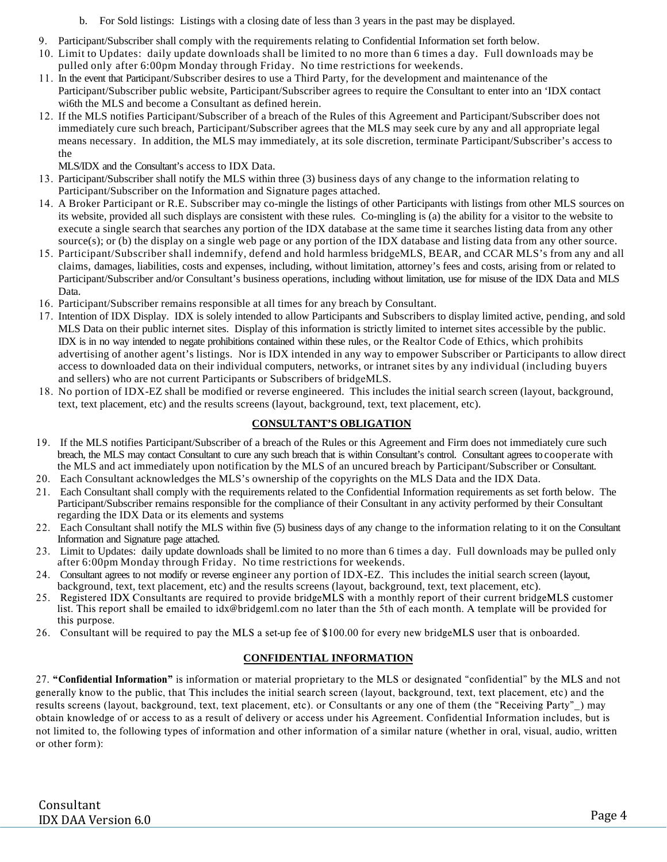- b. For Sold listings: Listings with a closing date of less than 3 years in the past may be displayed.
- 9. Participant/Subscriber shall comply with the requirements relating to Confidential Information set forth below.
- 10. Limit to Updates: daily update downloads shall be limited to no more than 6 times a day. Full downloads may be pulled only after 6:00pm Monday through Friday. No time restrictions for weekends.
- 11. In the event that Participant/Subscriber desires to use a Third Party, for the development and maintenance of the Participant/Subscriber public website, Participant/Subscriber agrees to require the Consultant to enter into an 'IDX contact wi6th the MLS and become a Consultant as defined herein.
- 12. If the MLS notifies Participant/Subscriber of a breach of the Rules of this Agreement and Participant/Subscriber does not immediately cure such breach, Participant/Subscriber agrees that the MLS may seek cure by any and all appropriate legal means necessary. In addition, the MLS may immediately, at its sole discretion, terminate Participant/Subscriber's access to the

MLS/IDX and the Consultant's access to IDX Data.

- 13. Participant/Subscriber shall notify the MLS within three (3) business days of any change to the information relating to Participant/Subscriber on the Information and Signature pages attached.
- 14. A Broker Participant or R.E. Subscriber may co-mingle the listings of other Participants with listings from other MLS sources on its website, provided all such displays are consistent with these rules. Co-mingling is (a) the ability for a visitor to the website to execute a single search that searches any portion of the IDX database at the same time it searches listing data from any other source(s); or (b) the display on a single web page or any portion of the IDX database and listing data from any other source.
- 15. Participant/Subscriber shall indemnify, defend and hold harmless bridgeMLS, BEAR, and CCAR MLS's from any and all claims, damages, liabilities, costs and expenses, including, without limitation, attorney's fees and costs, arising from or related to Participant/Subscriber and/or Consultant's business operations, including without limitation, use for misuse of the IDX Data and MLS Data.
- 16. Participant/Subscriber remains responsible at all times for any breach by Consultant.
- 17. Intention of IDX Display. IDX is solely intended to allow Participants and Subscribers to display limited active, pending, and sold MLS Data on their public internet sites. Display of this information is strictly limited to internet sites accessible by the public. IDX is in no way intended to negate prohibitions contained within these rules, or the Realtor Code of Ethics, which prohibits advertising of another agent's listings. Nor is IDX intended in any way to empower Subscriber or Participants to allow direct access to downloaded data on their individual computers, networks, or intranet sites by any individual (including buyers and sellers) who are not current Participants or Subscribers of bridgeMLS.
- 18. No portion of IDX-EZ shall be modified or reverse engineered. This includes the initial search screen (layout, background, text, text placement, etc) and the results screens (layout, background, text, text placement, etc).

## **CONSULTANT'S OBLIGATION**

- 19. If the MLS notifies Participant/Subscriber of a breach of the Rules or this Agreement and Firm does not immediately cure such breach, the MLS may contact Consultant to cure any such breach that is within Consultant's control. Consultant agrees to cooperate with the MLS and act immediately upon notification by the MLS of an uncured breach by Participant/Subscriber or Consultant.
- 20. Each Consultant acknowledges the MLS's ownership of the copyrights on the MLS Data and the IDX Data.
- 21. Each Consultant shall comply with the requirements related to the Confidential Information requirements as set forth below. The Participant/Subscriber remains responsible for the compliance of their Consultant in any activity performed by their Consultant regarding the IDX Data or its elements and systems
- 22. Each Consultant shall notify the MLS within five (5) business days of any change to the information relating to it on the Consultant Information and Signature page attached.
- 23. Limit to Updates: daily update downloads shall be limited to no more than 6 times a day. Full downloads may be pulled only after 6:00pm Monday through Friday. No time restrictions for weekends.
- 24. Consultant agrees to not modify or reverse engineer any portion of IDX-EZ. This includes the initial search screen (layout, background, text, text placement, etc) and the results screens (layout, background, text, text placement, etc).
- 25. Registered IDX Consultants are required to provide bridgeMLS with a monthly report of their current bridgeMLS customer list. This report shall be emailed to idx@bridgeml.com no later than the 5th of each month. A template will be provided for this purpose.
- 26. Consultant will be required to pay the MLS a set-up fee of \$100.00 for every new bridgeMLS user that is onboarded.

## **CONFIDENTIAL INFORMATION**

27. "Confidential Information" is information or material proprietary to the MLS or designated "confidential" by the MLS and not generally know to the public, that This includes the initial search screen (layout, background, text, text placement, etc) and the results screens (layout, background, text, text placement, etc). or Consultants or any one of them (the "Receiving Party"\_) may obtain knowledge of or access to as a result of delivery or access under his Agreement. Confidential Information includes, but is not limited to, the following types of information and other information of a similar nature (whether in oral, visual, audio, written or other form):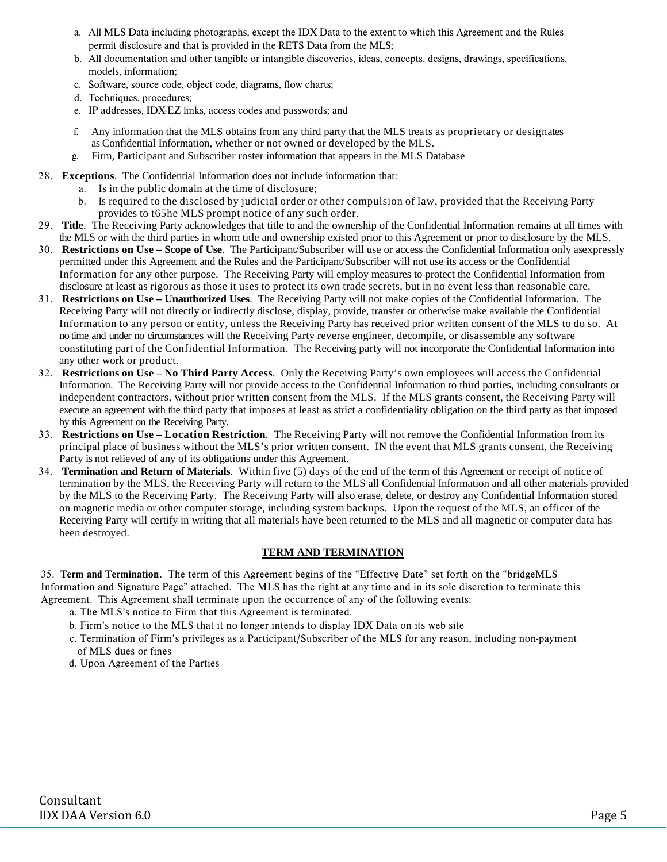- a. All MLS Data including photographs, except the IDX Data to the extent to which this Agreement and the Rules permit disclosure and that is provided in the RETS Data from the MLS;
- b. All documentation and other tangible or intangible discoveries, ideas, concepts, designs, drawings, specifications, models, information;
- c. Software, source code, object code, diagrams, flow charts;
- d. Techniques, procedures;
- e. IP addresses, IDX-EZ links, access codes and passwords; and
- f. Any information that the MLS obtains from any third party that the MLS treats as proprietary or designates as Confidential Information, whether or not owned or developed by the MLS.
- g. Firm, Participant and Subscriber roster information that appears in the MLS Database
- 28. **Exceptions**. The Confidential Information does not include information that:
	- a. Is in the public domain at the time of disclosure;
	- b. Is required to the disclosed by judicial order or other compulsion of law, provided that the Receiving Party provides to t65he MLS prompt notice of any such order.
- 29. **Title**. The Receiving Party acknowledges that title to and the ownership of the Confidential Information remains at all times with the MLS or with the third parties in whom title and ownership existed prior to this Agreement or prior to disclosure by the MLS.
- 30. **Restrictions on Use Scope of Use**. The Participant/Subscriber will use or access the Confidential Information only asexpressly permitted under this Agreement and the Rules and the Participant/Subscriber will not use its access or the Confidential Information for any other purpose. The Receiving Party will employ measures to protect the Confidential Information from disclosure at least as rigorous as those it uses to protect its own trade secrets, but in no event less than reasonable care.
- 31. **Restrictions on Use Unauthorized Uses**. The Receiving Party will not make copies of the Confidential Information. The Receiving Party will not directly or indirectly disclose, display, provide, transfer or otherwise make available the Confidential Information to any person or entity, unless the Receiving Party has received prior written consent of the MLS to do so. At no time and under no circumstances will the Receiving Party reverse engineer, decompile, or disassemble any software constituting part of the Confidential Information. The Receiving party will not incorporate the Confidential Information into any other work or product.
- 32. **Restrictions on Use No Third Party Access**. Only the Receiving Party's own employees will access the Confidential Information. The Receiving Party will not provide access to the Confidential Information to third parties, including consultants or independent contractors, without prior written consent from the MLS. If the MLS grants consent, the Receiving Party will execute an agreement with the third party that imposes at least as strict a confidentiality obligation on the third party as that imposed by this Agreement on the Receiving Party.
- 33. **Restrictions on Use Location Restriction**. The Receiving Party will not remove the Confidential Information from its principal place of business without the MLS's prior written consent. IN the event that MLS grants consent, the Receiving Party is not relieved of any of its obligations under this Agreement.
- 34. **Termination and Return of Materials**. Within five (5) days of the end of the term of this Agreement or receipt of notice of termination by the MLS, the Receiving Party will return to the MLS all Confidential Information and all other materials provided by the MLS to the Receiving Party. The Receiving Party will also erase, delete, or destroy any Confidential Information stored on magnetic media or other computer storage, including system backups. Upon the request of the MLS, an officer of the Receiving Party will certify in writing that all materials have been returned to the MLS and all magnetic or computer data has been destroyed.

## **TERM AND TERMINATION**

35. Term and Termination. The term of this Agreement begins of the "Effective Date" set forth on the "bridgeMLS Information and Signature Page" attached. The MLS has the right at any time and in its sole discretion to terminate this Agreement. This Agreement shall terminate upon the occurrence of any of the following events:

- a. The MLS's notice to Firm that this Agreement is terminated.
- b. Firm's notice to the MLS that it no longer intends to display IDX Data on its web site
- c. Termination of Firm's privileges as a Participant/Subscriber of the MLS for any reason, including non-payment of MLS dues or fines
- d. Upon Agreement of the Parties